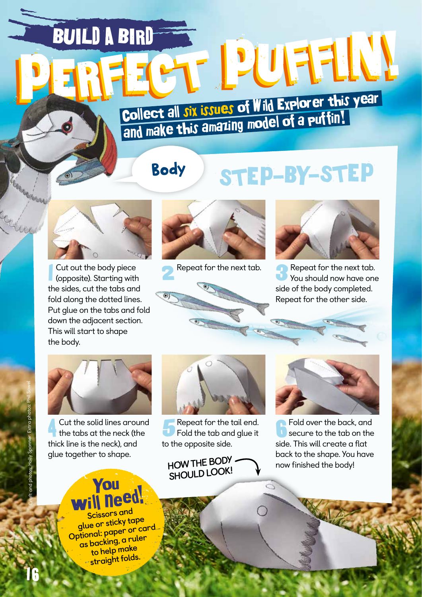## **BUILD A BIRD**

# **PERFECT PUFFIN!** Collect all six issues of Wild Explorer this year Collect all JIX bands of a collect all JIX bands of a puttin!

### Body

## STEP-BY-STEP



1 Cut out the body piece (opposite). Starting with the sides, cut the tabs and fold along the dotted lines. Put glue on the tabs and fold down the adjacent section. This will start to shape the body.





**2**Repeat for the next tab. 3 8 Sepeat for the next tab.<br>3 You should now have one side of the body completed. Repeat for the other side.



4 Cut the solid lines around the tabs at the neck (the thick line is the neck), and glue together to shape.



Repeat for the tail end. Fold the tab and glue it to the opposite side.

*HOW THE BODY SHOULD LOOK!*



**Fold over the back, and** secure to the tab on the side. This will create a flat back to the shape. You have now finished the body!

#### You need!

**Scissors and glue or sticky tape Optional: paper or card as backing, a ruler to help make straight folds.**